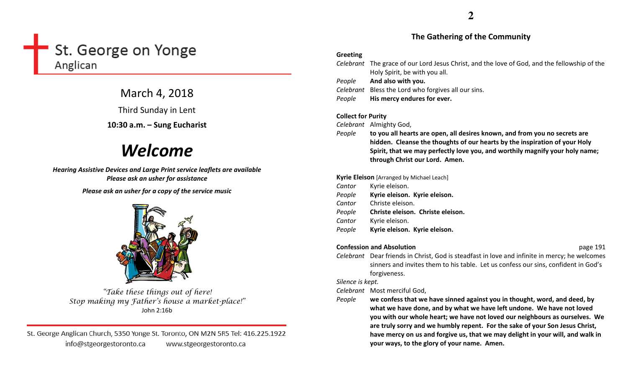# St. George on Yonge Anglican

# March 4, 2018

Third Sunday in Lent

# 10:30 a.m. – Sung Eucharist

# Welcome

Hearing Assistive Devices and Large Print service leaflets are available Please ask an usher for assistance

Please ask an usher for a copy of the service music



"Take these things out of here! Stop making my Father's house a market-place!" John 2:16b

St. George Anglican Church, 5350 Yonge St. Toronto, ON M2N 5R5 Tel: 416.225.1922 info@stgeorgestoronto.ca www.stgeorgestoronto.ca

# The Gathering of the Community

### Greeting

|        | Celebrant The grace of our Lord Jesus Christ, and the love of God, and the fellowship of the |
|--------|----------------------------------------------------------------------------------------------|
|        | Holy Spirit, be with you all.                                                                |
| People | And also with you.                                                                           |

- Celebrant Bless the Lord who forgives all our sins.
- PeopleHis mercy endures for ever.

## Collect for Purity

Celebrant Almighty God,

People to you all hearts are open, all desires known, and from you no secrets are hidden. Cleanse the thoughts of our hearts by the inspiration of your Holy Spirit, that we may perfectly love you, and worthily magnify your holy name; through Christ our Lord. Amen.

**Kyrie Eleison** [Arranged by Michael Leach]

| Cantor | Kyrie eleison.                    |
|--------|-----------------------------------|
| People | Kyrie eleison. Kyrie eleison.     |
| Cantor | Christe eleison.                  |
| People | Christe eleison. Christe eleison. |
| Cantor | Kyrie eleison.                    |
| People | Kyrie eleison. Kyrie eleison.     |

#### Confession and Absolution

 page 191 Celebrant Dear friends in Christ, God is steadfast in love and infinite in mercy; he welcomes sinners and invites them to his table. Let us confess our sins, confident in God's forgiveness.

Silence is kept.

Celebrant Most merciful God,

People we confess that we have sinned against you in thought, word, and deed, by what we have done, and by what we have left undone. We have not loved you with our whole heart; we have not loved our neighbours as ourselves. We are truly sorry and we humbly repent. For the sake of your Son Jesus Christ, have mercy on us and forgive us, that we may delight in your will, and walk in your ways, to the glory of your name. Amen.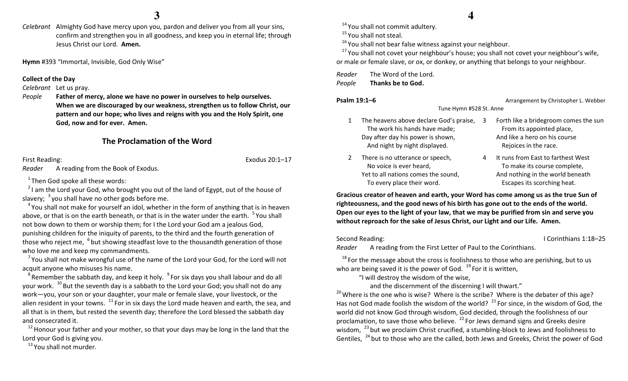Celebrant Almighty God have mercy upon you, pardon and deliver you from all your sins, confirm and strengthen you in all goodness, and keep you in eternal life; through Jesus Christ our Lord. Amen.

Hymn #393 "Immortal, Invisible, God Only Wise"

#### Collect of the Day

#### Celebrant Let us pray.

People Father of mercy, alone we have no power in ourselves to help ourselves. When we are discouraged by our weakness, strengthen us to follow Christ, our pattern and our hope; who lives and reigns with you and the Holy Spirit, one God, now and for ever. Amen.

## The Proclamation of the Word

First Reading: Exodus 20:1–17

Reader A reading from the Book of Exodus.

 $1$ Then God spoke all these words:

 $2$ I am the Lord your God, who brought you out of the land of Egypt, out of the house of slavery;  $3\gamma$  you shall have no other gods before me.

 $4$ You shall not make for yourself an idol, whether in the form of anything that is in heaven above, or that is on the earth beneath, or that is in the water under the earth.  $5$  You shall not bow down to them or worship them; for I the Lord your God am a jealous God, punishing children for the iniquity of parents, to the third and the fourth generation of those who reject me,  $6$  but showing steadfast love to the thousandth generation of those who love me and keep my commandments.

 $7$  You shall not make wrongful use of the name of the Lord your God, for the Lord will not acquit anyone who misuses his name.

 $8$ Remember the sabbath day, and keep it holy.  $9$  For six days you shall labour and do all your work.  $^{10}$  But the seventh day is a sabbath to the Lord your God; you shall not do any work—you, your son or your daughter, your male or female slave, your livestock, or the alien resident in your towns.  $^{11}$  For in six days the Lord made heaven and earth, the sea, and all that is in them, but rested the seventh day; therefore the Lord blessed the sabbath day and consecrated it.

 $^{12}$ Honour your father and your mother, so that your days may be long in the land that the Lord your God is giving you.

 $13$  You shall not murder.

<sup>14</sup> You shall not commit adultery.

<sup>15</sup> You shall not steal.

 $^{16}$ You shall not bear false witness against your neighbour.

 $^{17}$ You shall not covet your neighbour's house; you shall not covet your neighbour's wife, or male or female slave, or ox, or donkey, or anything that belongs to your neighbour.

Reader The Word of the Lord.

PeopleThanks be to God.

#### Psalm 19:1–6

#### Tune Hymn #528 St. Anne

- 1 The heavens above declare God's praise, 3The work his hands have made; Day after day his power is shown, And night by night displayed.
- 2 There is no utterance or speech, No voice is ever heard, Yet to all nations comes the sound, To every place their word.
- Forth like a bridegroom comes the sunFrom its appointed place, And like a hero on his course Rejoices in the race.

Arrangement by Christopher L. Webber

It runs from East to farthest West To make its course complete, And nothing in the world beneath Escapes its scorching heat.

Gracious creator of heaven and earth, your Word has come among us as the true Sun of righteousness, and the good news of his birth has gone out to the ends of the world. Open our eyes to the light of your law, that we may be purified from sin and serve you without reproach for the sake of Jesus Christ, our Light and our Life. Amen.

Second Reading: I Corinthians 1:18–25

Reader A reading from the First Letter of Paul to the Corinthians.

 $18$  For the message about the cross is foolishness to those who are perishing, but to us who are being saved it is the power of God.  $19$  For it is written,

"I will destroy the wisdom of the wise,

and the discernment of the discerning I will thwart."

<sup>20</sup>Where is the one who is wise? Where is the scribe? Where is the debater of this age? Has not God made foolish the wisdom of the world?  $^{21}$  For since, in the wisdom of God, the world did not know God through wisdom, God decided, through the foolishness of our proclamation, to save those who believe.  $^{22}$  For Jews demand signs and Greeks desire wisdom, <sup>23</sup> but we proclaim Christ crucified, a stumbling-block to Jews and foolishness to Gentiles,  $^{24}$  but to those who are the called, both Jews and Greeks, Christ the power of God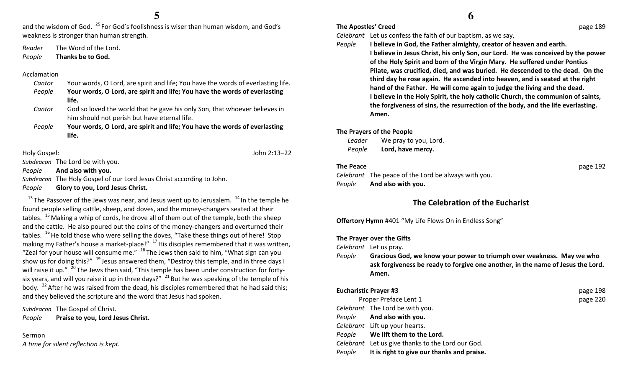**5**

and the wisdom of God. <sup>25</sup> For God's foolishness is wiser than human wisdom, and God's weakness is stronger than human strength.

Reader The Word of the Lord.

PeopleThanks be to God.

#### Acclamation

| Cantor | Your words, O Lord, are spirit and life; You have the words of everlasting life. |
|--------|----------------------------------------------------------------------------------|
| People | Your words, O Lord, are spirit and life; You have the words of everlasting       |
|        | life.                                                                            |
| Cantor | God so loved the world that he gave his only Son, that whoever believes in       |
|        | him should not perish but have eternal life.                                     |
| People | Your words, O Lord, are spirit and life; You have the words of everlasting       |
|        | life.                                                                            |

Holy Gospel: John 2:13–22

Subdeacon The Lord be with you.

PeopleAnd also with you.

Subdeacon The Holy Gospel of our Lord Jesus Christ according to John.

PeopleGlory to you, Lord Jesus Christ.

 $13$  The Passover of the Jews was near, and Jesus went up to Jerusalem.  $14$  In the temple he found people selling cattle, sheep, and doves, and the money-changers seated at their tables.  $^{15}$  Making a whip of cords, he drove all of them out of the temple, both the sheep and the cattle. He also poured out the coins of the money-changers and overturned their tables.  $16$  He told those who were selling the doves, "Take these things out of here! Stop making my Father's house a market-place!"  $17$  His disciples remembered that it was written, "Zeal for your house will consume me."  $18$  The Jews then said to him, "What sign can you show us for doing this?"  $^{19}$  Jesus answered them, "Destroy this temple, and in three days I will raise it up." <sup>20</sup>The Jews then said, "This temple has been under construction for fortysix years, and will you raise it up in three days?"  $21$  But he was speaking of the temple of his body.  $^{22}$  After he was raised from the dead, his disciples remembered that he had said this: and they believed the scripture and the word that Jesus had spoken.

Subdeacon The Gospel of Christ.

PeoplePraise to you, Lord Jesus Christ.

#### Sermon A time for silent reflection is kept.

## The Apostles' Creed

d by a page 189 Celebrant Let us confess the faith of our baptism, as we say,

People I believe in God, the Father almighty, creator of heaven and earth. I believe in Jesus Christ, his only Son, our Lord. He was conceived by the power of the Holy Spirit and born of the Virgin Mary. He suffered under Pontius Pilate, was crucified, died, and was buried. He descended to the dead. On the third day he rose again. He ascended into heaven, and is seated at the right hand of the Father. He will come again to judge the living and the dead. I believe in the Holy Spirit, the holy catholic Church, the communion of saints, the forgiveness of sins, the resurrection of the body, and the life everlasting. Amen.

**6**

#### The Prayers of the People

Leader We pray to you, Lord. PeopleLord, have mercy.

#### The Peace

Celebrant The peace of the Lord be always with you. PeopleAnd also with you.

# The Celebration of the Eucharist

Offertory Hymn #401 "My Life Flows On in Endless Song"

#### The Prayer over the Gifts

Celebrant Let us pray.

People Gracious God, we know your power to triumph over weakness. May we who ask forgiveness be ready to forgive one another, in the name of Jesus the Lord. Amen.

| <b>Eucharistic Prayer #3</b> |                                                   | page 198 |
|------------------------------|---------------------------------------------------|----------|
|                              | Proper Preface Lent 1                             | page 220 |
|                              | Celebrant The Lord be with you.                   |          |
|                              | People And also with you.                         |          |
|                              | Celebrant Lift up your hearts.                    |          |
|                              | People We lift them to the Lord.                  |          |
|                              | Celebrant Let us give thanks to the Lord our God. |          |
| People                       | It is right to give our thanks and praise.        |          |

 $p$  and  $p$  and  $p$  are page 192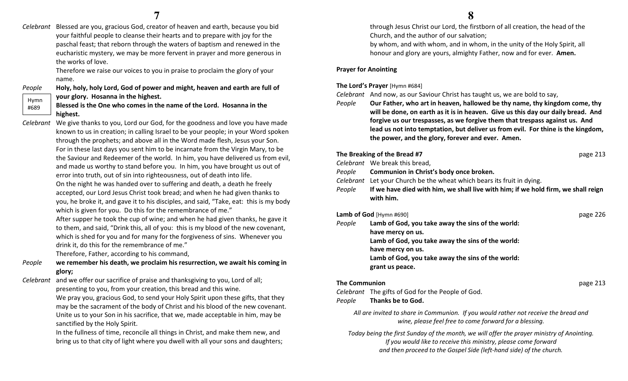Celebrant Blessed are you, gracious God, creator of heaven and earth, because you bid your faithful people to cleanse their hearts and to prepare with joy for the paschal feast; that reborn through the waters of baptism and renewed in the eucharistic mystery, we may be more fervent in prayer and more generous in the works of love.

> Therefore we raise our voices to you in praise to proclaim the glory of your name.

People

Hymn #689

 Holy, holy, holy Lord, God of power and might, heaven and earth are full of your glory. Hosanna in the highest.

Blessed is the One who comes in the name of the Lord. Hosanna in the highest.

Celebrant We give thanks to you, Lord our God, for the goodness and love you have made known to us in creation; in calling Israel to be your people; in your Word spoken through the prophets; and above all in the Word made flesh, Jesus your Son. For in these last days you sent him to be incarnate from the Virgin Mary, to be the Saviour and Redeemer of the world. In him, you have delivered us from evil, and made us worthy to stand before you. In him, you have brought us out of error into truth, out of sin into righteousness, out of death into life. On the night he was handed over to suffering and death, a death he freely accepted, our Lord Jesus Christ took bread; and when he had given thanks to you, he broke it, and gave it to his disciples, and said, "Take, eat: this is my body which is given for you. Do this for the remembrance of me." After supper he took the cup of wine; and when he had given thanks, he gave it

> to them, and said, "Drink this, all of you: this is my blood of the new covenant, which is shed for you and for many for the forgiveness of sins. Whenever you drink it, do this for the remembrance of me."

Therefore, Father, according to his command,

- People we remember his death, we proclaim his resurrection, we await his coming in glory;
- Celebrant and we offer our sacrifice of praise and thanksgiving to you, Lord of all; presenting to you, from your creation, this bread and this wine.

We pray you, gracious God, to send your Holy Spirit upon these gifts, that they may be the sacrament of the body of Christ and his blood of the new covenant. Unite us to your Son in his sacrifice, that we, made acceptable in him, may be sanctified by the Holy Spirit.

In the fullness of time, reconcile all things in Christ, and make them new, and bring us to that city of light where you dwell with all your sons and daughters;

 through Jesus Christ our Lord, the firstborn of all creation, the head of the Church, and the author of our salvation;

by whom, and with whom, and in whom, in the unity of the Holy Spirit, all honour and glory are yours, almighty Father, now and for ever. Amen.

#### Prayer for Anointing

# The Lord's Prayer [Hymn #684]

Celebrant And now, as our Saviour Christ has taught us, we are bold to say,

People Our Father, who art in heaven, hallowed be thy name, thy kingdom come, thy will be done, on earth as it is in heaven. Give us this day our daily bread. And forgive us our trespasses, as we forgive them that trespass against us. And lead us not into temptation, but deliver us from evil. For thine is the kingdom, the power, and the glory, forever and ever. Amen.

#### The Breaking of the Bread #7**2 page 213**

Celebrant We break this bread,

- PeopleCommunion in Christ's body once broken.
- Celebrant Let your Church be the wheat which bears its fruit in dying.
- People If we have died with him, we shall live with him; if we hold firm, we shall reign with him.

Lamb of God [Hymn #690]

**d** [Hymn #690] **page 226** People Lamb of God, you take away the sins of the world: have mercy on us. Lamb of God, you take away the sins of the world: have mercy on us. Lamb of God, you take away the sins of the world: grant us peace.

#### The Communion

n based on the contract of the contract of the contract of the contract of the contract of the contract of the contract of the contract of the contract of the contract of the contract of the contract of the contract of the Celebrant The gifts of God for the People of God.

PeopleThanks be to God.

> All are invited to share in Communion. If you would rather not receive the bread and wine, please feel free to come forward for a blessing.

Today being the first Sunday of the month, we will offer the prayer ministry of Anointing. If you would like to receive this ministry, please come forward and then proceed to the Gospel Side (left-hand side) of the church.